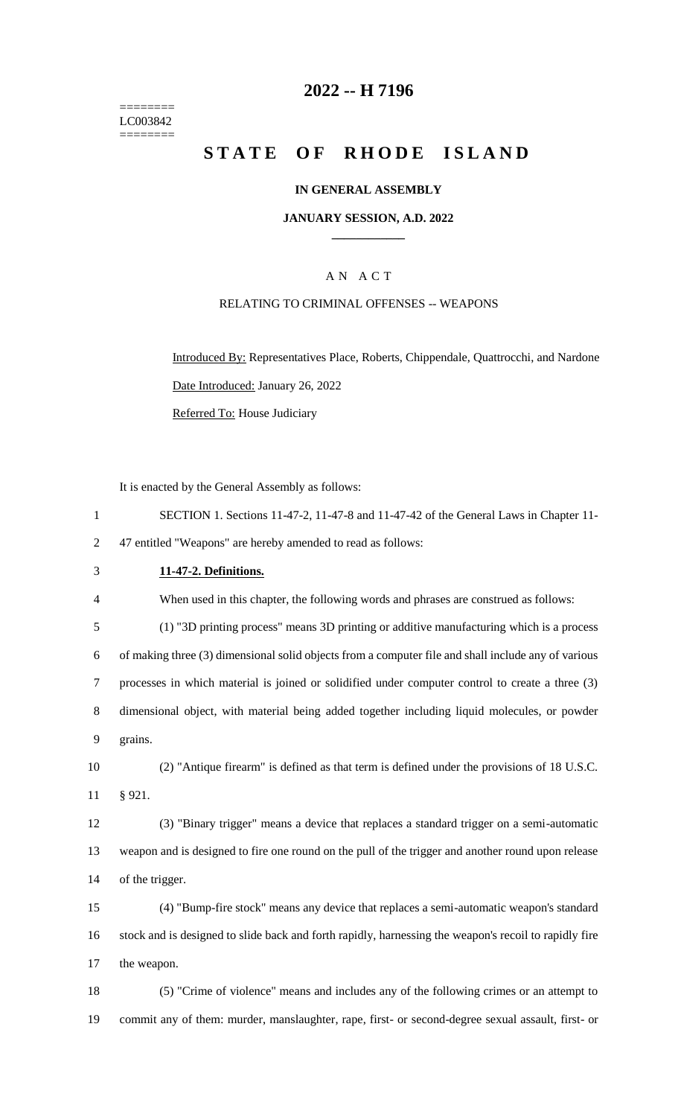======== LC003842  $=$ 

# **2022 -- H 7196**

# **STATE OF RHODE ISLAND**

# **IN GENERAL ASSEMBLY**

# **JANUARY SESSION, A.D. 2022 \_\_\_\_\_\_\_\_\_\_\_\_**

# A N A C T

# RELATING TO CRIMINAL OFFENSES -- WEAPONS

Introduced By: Representatives Place, Roberts, Chippendale, Quattrocchi, and Nardone Date Introduced: January 26, 2022 Referred To: House Judiciary

It is enacted by the General Assembly as follows:

|                | It is enacted by the General Assembly as follows:                                                     |
|----------------|-------------------------------------------------------------------------------------------------------|
| $\mathbf{1}$   | SECTION 1. Sections 11-47-2, 11-47-8 and 11-47-42 of the General Laws in Chapter 11-                  |
| $\overline{2}$ | 47 entitled "Weapons" are hereby amended to read as follows:                                          |
| 3              | 11-47-2. Definitions.                                                                                 |
| 4              | When used in this chapter, the following words and phrases are construed as follows:                  |
| 5              | (1) "3D printing process" means 3D printing or additive manufacturing which is a process              |
| 6              | of making three (3) dimensional solid objects from a computer file and shall include any of various   |
| $\tau$         | processes in which material is joined or solidified under computer control to create a three (3)      |
| 8              | dimensional object, with material being added together including liquid molecules, or powder          |
| 9              | grains.                                                                                               |
| 10             | (2) "Antique firearm" is defined as that term is defined under the provisions of 18 U.S.C.            |
| 11             | § 921.                                                                                                |
| 12             | (3) "Binary trigger" means a device that replaces a standard trigger on a semi-automatic              |
| 13             | weapon and is designed to fire one round on the pull of the trigger and another round upon release    |
| 14             | of the trigger.                                                                                       |
| 15             | (4) "Bump-fire stock" means any device that replaces a semi-automatic weapon's standard               |
| 16             | stock and is designed to slide back and forth rapidly, harnessing the weapon's recoil to rapidly fire |
| 17             | the weapon.                                                                                           |
| 18             | (5) "Crime of violence" means and includes any of the following crimes or an attempt to               |
|                |                                                                                                       |

19 commit any of them: murder, manslaughter, rape, first- or second-degree sexual assault, first- or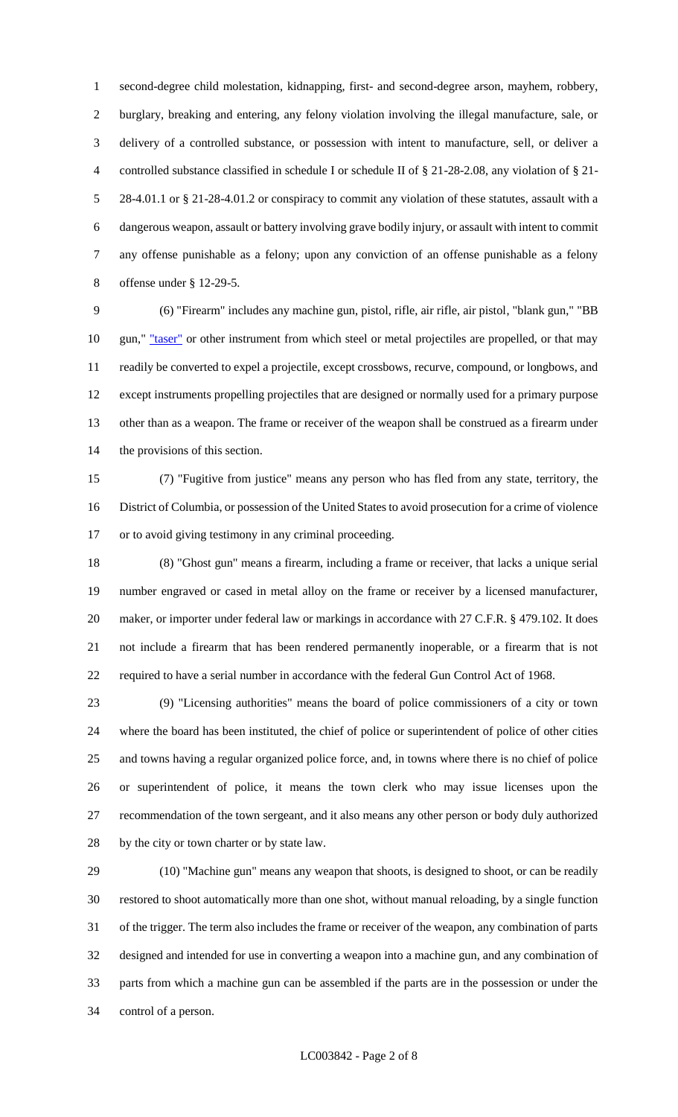second-degree child molestation, kidnapping, first- and second-degree arson, mayhem, robbery, burglary, breaking and entering, any felony violation involving the illegal manufacture, sale, or delivery of a controlled substance, or possession with intent to manufacture, sell, or deliver a controlled substance classified in schedule I or schedule II of § 21-28-2.08, any violation of § 21- 28-4.01.1 or § 21-28-4.01.2 or conspiracy to commit any violation of these statutes, assault with a dangerous weapon, assault or battery involving grave bodily injury, or assault with intent to commit any offense punishable as a felony; upon any conviction of an offense punishable as a felony offense under § 12-29-5.

 (6) "Firearm" includes any machine gun, pistol, rifle, air rifle, air pistol, "blank gun," "BB 10 gun," "taser" or other instrument from which steel or metal projectiles are propelled, or that may readily be converted to expel a projectile, except crossbows, recurve, compound, or longbows, and except instruments propelling projectiles that are designed or normally used for a primary purpose other than as a weapon. The frame or receiver of the weapon shall be construed as a firearm under the provisions of this section.

 (7) "Fugitive from justice" means any person who has fled from any state, territory, the District of Columbia, or possession of the United States to avoid prosecution for a crime of violence or to avoid giving testimony in any criminal proceeding.

 (8) "Ghost gun" means a firearm, including a frame or receiver, that lacks a unique serial number engraved or cased in metal alloy on the frame or receiver by a licensed manufacturer, 20 maker, or importer under federal law or markings in accordance with 27 C.F.R. § 479.102. It does not include a firearm that has been rendered permanently inoperable, or a firearm that is not required to have a serial number in accordance with the federal Gun Control Act of 1968.

 (9) "Licensing authorities" means the board of police commissioners of a city or town where the board has been instituted, the chief of police or superintendent of police of other cities and towns having a regular organized police force, and, in towns where there is no chief of police or superintendent of police, it means the town clerk who may issue licenses upon the recommendation of the town sergeant, and it also means any other person or body duly authorized by the city or town charter or by state law.

 (10) "Machine gun" means any weapon that shoots, is designed to shoot, or can be readily restored to shoot automatically more than one shot, without manual reloading, by a single function of the trigger. The term also includes the frame or receiver of the weapon, any combination of parts designed and intended for use in converting a weapon into a machine gun, and any combination of parts from which a machine gun can be assembled if the parts are in the possession or under the control of a person.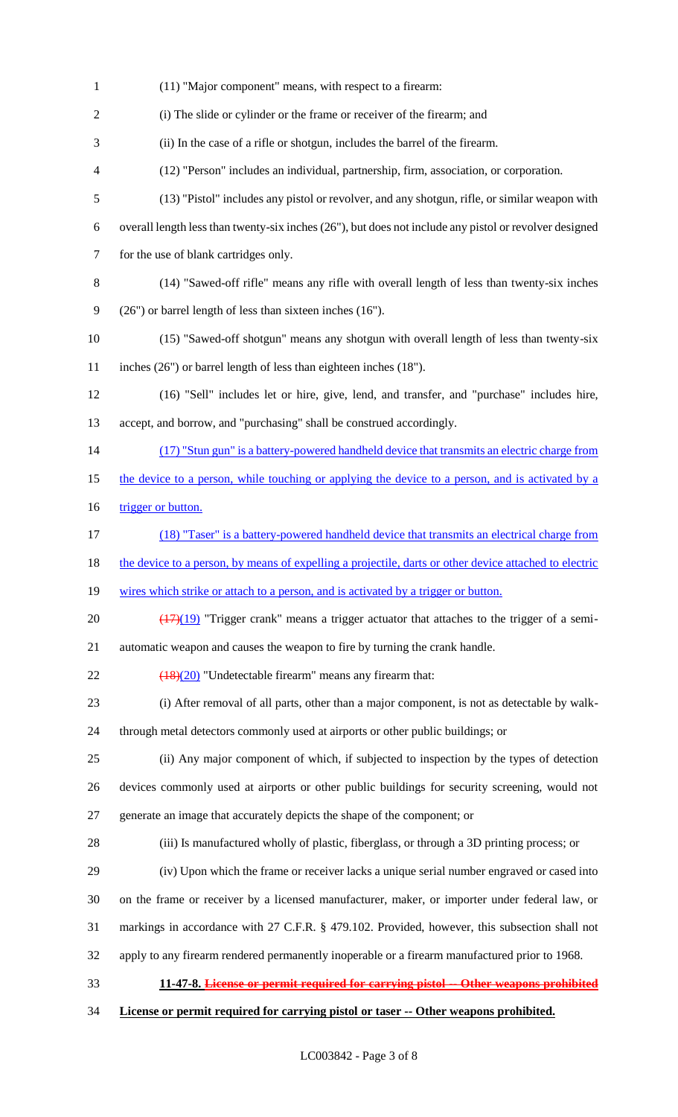| $\mathbf{1}$   | (11) "Major component" means, with respect to a firearm:                                                 |
|----------------|----------------------------------------------------------------------------------------------------------|
| $\overline{2}$ | (i) The slide or cylinder or the frame or receiver of the firearm; and                                   |
| 3              | (ii) In the case of a rifle or shotgun, includes the barrel of the firearm.                              |
| 4              | (12) "Person" includes an individual, partnership, firm, association, or corporation.                    |
| 5              | (13) "Pistol" includes any pistol or revolver, and any shotgun, rifle, or similar weapon with            |
| 6              | overall length less than twenty-six inches $(26)$ , but does not include any pistol or revolver designed |
| $\tau$         | for the use of blank cartridges only.                                                                    |
| 8              | (14) "Sawed-off rifle" means any rifle with overall length of less than twenty-six inches                |
| 9              | $(26")$ or barrel length of less than sixteen inches $(16")$ .                                           |
| 10             | (15) "Sawed-off shotgun" means any shotgun with overall length of less than twenty-six                   |
| 11             | inches (26") or barrel length of less than eighteen inches (18").                                        |
| 12             | (16) "Sell" includes let or hire, give, lend, and transfer, and "purchase" includes hire,                |
| 13             | accept, and borrow, and "purchasing" shall be construed accordingly.                                     |
| 14             | (17) "Stun gun" is a battery-powered handheld device that transmits an electric charge from              |
| 15             | the device to a person, while touching or applying the device to a person, and is activated by a         |
| 16             | trigger or button.                                                                                       |
| 17             | (18) "Taser" is a battery-powered handheld device that transmits an electrical charge from               |
| 18             | the device to a person, by means of expelling a projectile, darts or other device attached to electric   |
| 19             | wires which strike or attach to a person, and is activated by a trigger or button.                       |
| 20             | $(17)(19)$ "Trigger crank" means a trigger actuator that attaches to the trigger of a semi-              |
| 21             | automatic weapon and causes the weapon to fire by turning the crank handle.                              |
| 22             | $\frac{(18)(20)}{20}$ "Undetectable firearm" means any firearm that:                                     |
| 23             | (i) After removal of all parts, other than a major component, is not as detectable by walk-              |
| 24             | through metal detectors commonly used at airports or other public buildings; or                          |
| 25             | (ii) Any major component of which, if subjected to inspection by the types of detection                  |
| 26             | devices commonly used at airports or other public buildings for security screening, would not            |
| 27             | generate an image that accurately depicts the shape of the component; or                                 |
| 28             | (iii) Is manufactured wholly of plastic, fiberglass, or through a 3D printing process; or                |
| 29             | (iv) Upon which the frame or receiver lacks a unique serial number engraved or cased into                |
| 30             | on the frame or receiver by a licensed manufacturer, maker, or importer under federal law, or            |
| 31             | markings in accordance with 27 C.F.R. § 479.102. Provided, however, this subsection shall not            |
| 32             | apply to any firearm rendered permanently inoperable or a firearm manufactured prior to 1968.            |
| 33             | 11-47-8. License or permit required for carrying pistol -- Other weapons prohibited                      |
| 34             | License or permit required for carrying pistol or taser -- Other weapons prohibited.                     |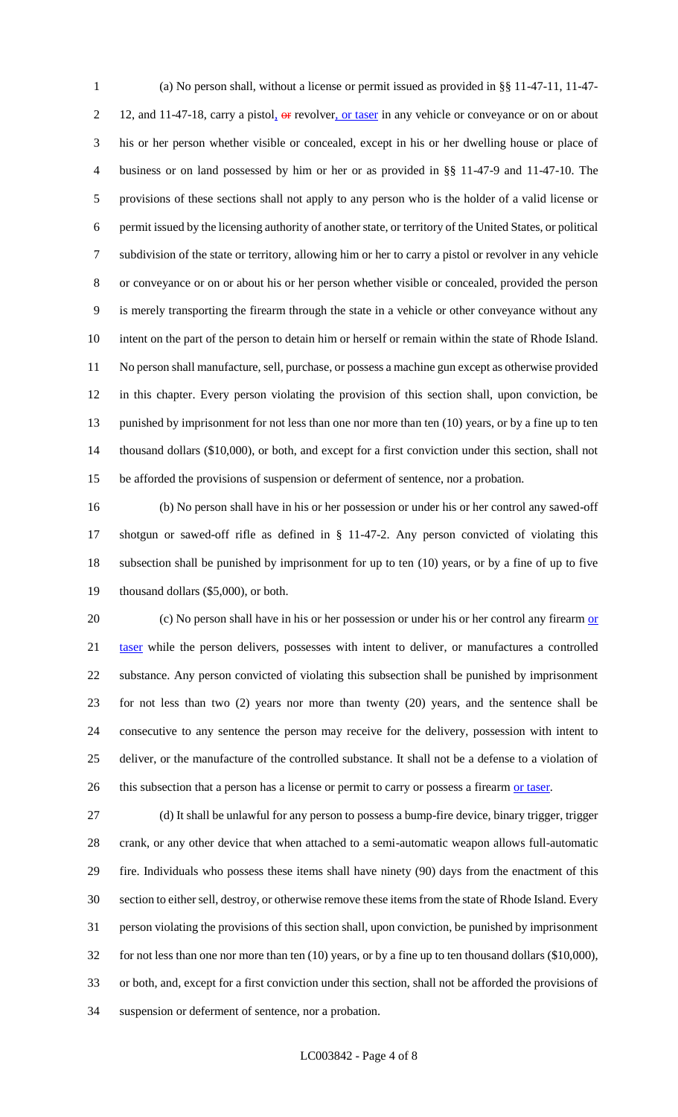(a) No person shall, without a license or permit issued as provided in §§ 11-47-11, 11-47- 2 12, and 11-47-18, carry a pistol, or revolver, or taser in any vehicle or conveyance or on or about his or her person whether visible or concealed, except in his or her dwelling house or place of business or on land possessed by him or her or as provided in §§ 11-47-9 and 11-47-10. The provisions of these sections shall not apply to any person who is the holder of a valid license or permit issued by the licensing authority of another state, or territory of the United States, or political subdivision of the state or territory, allowing him or her to carry a pistol or revolver in any vehicle or conveyance or on or about his or her person whether visible or concealed, provided the person is merely transporting the firearm through the state in a vehicle or other conveyance without any intent on the part of the person to detain him or herself or remain within the state of Rhode Island. No person shall manufacture, sell, purchase, or possess a machine gun except as otherwise provided in this chapter. Every person violating the provision of this section shall, upon conviction, be 13 punished by imprisonment for not less than one nor more than ten (10) years, or by a fine up to ten thousand dollars (\$10,000), or both, and except for a first conviction under this section, shall not be afforded the provisions of suspension or deferment of sentence, nor a probation.

 (b) No person shall have in his or her possession or under his or her control any sawed-off shotgun or sawed-off rifle as defined in § 11-47-2. Any person convicted of violating this subsection shall be punished by imprisonment for up to ten (10) years, or by a fine of up to five thousand dollars (\$5,000), or both.

20 (c) No person shall have in his or her possession or under his or her control any firearm or 21 taser while the person delivers, possesses with intent to deliver, or manufactures a controlled substance. Any person convicted of violating this subsection shall be punished by imprisonment for not less than two (2) years nor more than twenty (20) years, and the sentence shall be consecutive to any sentence the person may receive for the delivery, possession with intent to deliver, or the manufacture of the controlled substance. It shall not be a defense to a violation of 26 this subsection that a person has a license or permit to carry or possess a firearm or taser.

 (d) It shall be unlawful for any person to possess a bump-fire device, binary trigger, trigger crank, or any other device that when attached to a semi-automatic weapon allows full-automatic fire. Individuals who possess these items shall have ninety (90) days from the enactment of this section to either sell, destroy, or otherwise remove these items from the state of Rhode Island. Every person violating the provisions of this section shall, upon conviction, be punished by imprisonment for not less than one nor more than ten (10) years, or by a fine up to ten thousand dollars (\$10,000), or both, and, except for a first conviction under this section, shall not be afforded the provisions of suspension or deferment of sentence, nor a probation.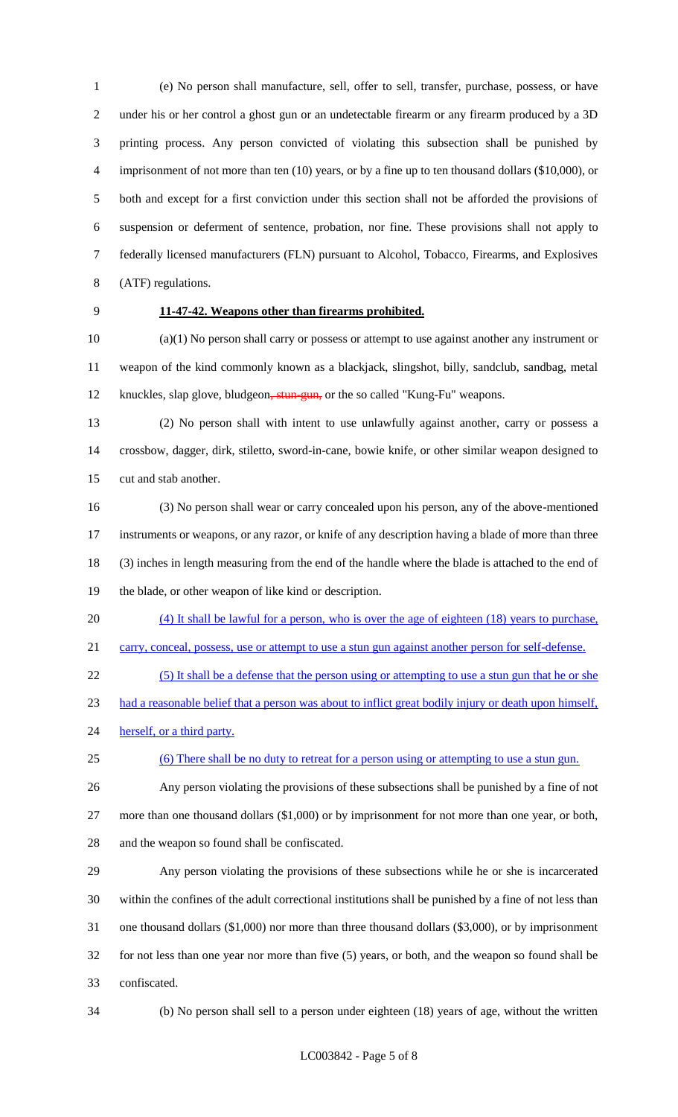(e) No person shall manufacture, sell, offer to sell, transfer, purchase, possess, or have under his or her control a ghost gun or an undetectable firearm or any firearm produced by a 3D printing process. Any person convicted of violating this subsection shall be punished by 4 imprisonment of not more than ten (10) years, or by a fine up to ten thousand dollars (\$10,000), or both and except for a first conviction under this section shall not be afforded the provisions of suspension or deferment of sentence, probation, nor fine. These provisions shall not apply to federally licensed manufacturers (FLN) pursuant to Alcohol, Tobacco, Firearms, and Explosives (ATF) regulations.

# **11-47-42. Weapons other than firearms prohibited.**

 (a)(1) No person shall carry or possess or attempt to use against another any instrument or weapon of the kind commonly known as a blackjack, slingshot, billy, sandclub, sandbag, metal 12 knuckles, slap glove, bludgeon, stun-gun, or the so called "Kung-Fu" weapons.

 (2) No person shall with intent to use unlawfully against another, carry or possess a crossbow, dagger, dirk, stiletto, sword-in-cane, bowie knife, or other similar weapon designed to cut and stab another.

 (3) No person shall wear or carry concealed upon his person, any of the above-mentioned instruments or weapons, or any razor, or knife of any description having a blade of more than three (3) inches in length measuring from the end of the handle where the blade is attached to the end of the blade, or other weapon of like kind or description.

 (4) It shall be lawful for a person, who is over the age of eighteen (18) years to purchase, 21 carry, conceal, possess, use or attempt to use a stun gun against another person for self-defense.

(5) It shall be a defense that the person using or attempting to use a stun gun that he or she

had a reasonable belief that a person was about to inflict great bodily injury or death upon himself,

- 24 herself, or a third party.
- (6) There shall be no duty to retreat for a person using or attempting to use a stun gun.
- 

 Any person violating the provisions of these subsections shall be punished by a fine of not more than one thousand dollars (\$1,000) or by imprisonment for not more than one year, or both,

and the weapon so found shall be confiscated.

 Any person violating the provisions of these subsections while he or she is incarcerated within the confines of the adult correctional institutions shall be punished by a fine of not less than one thousand dollars (\$1,000) nor more than three thousand dollars (\$3,000), or by imprisonment for not less than one year nor more than five (5) years, or both, and the weapon so found shall be confiscated.

(b) No person shall sell to a person under eighteen (18) years of age, without the written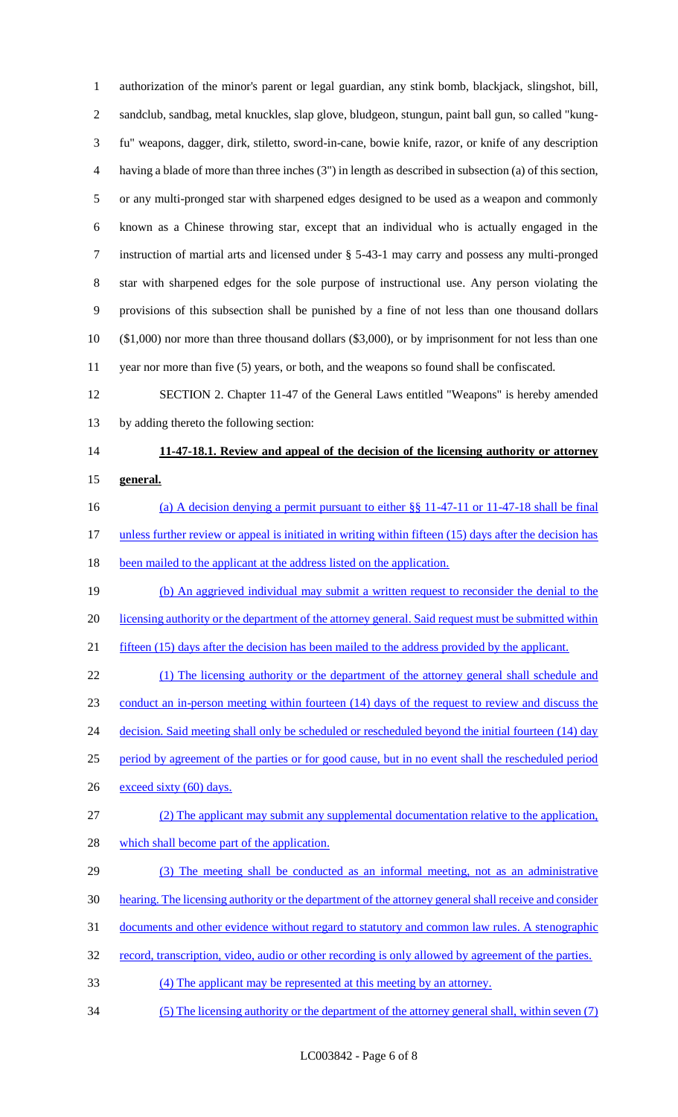authorization of the minor's parent or legal guardian, any stink bomb, blackjack, slingshot, bill, sandclub, sandbag, metal knuckles, slap glove, bludgeon, stungun, paint ball gun, so called "kung- fu" weapons, dagger, dirk, stiletto, sword-in-cane, bowie knife, razor, or knife of any description having a blade of more than three inches (3") in length as described in subsection (a) of this section, or any multi-pronged star with sharpened edges designed to be used as a weapon and commonly known as a Chinese throwing star, except that an individual who is actually engaged in the instruction of martial arts and licensed under § 5-43-1 may carry and possess any multi-pronged star with sharpened edges for the sole purpose of instructional use. Any person violating the provisions of this subsection shall be punished by a fine of not less than one thousand dollars (\$1,000) nor more than three thousand dollars (\$3,000), or by imprisonment for not less than one year nor more than five (5) years, or both, and the weapons so found shall be confiscated.

 SECTION 2. Chapter 11-47 of the General Laws entitled "Weapons" is hereby amended by adding thereto the following section:

# **11-47-18.1. Review and appeal of the decision of the licensing authority or attorney general.**

- 16 (a) A decision denying a permit pursuant to either §§ 11-47-11 or 11-47-18 shall be final 17 unless further review or appeal is initiated in writing within fifteen (15) days after the decision has
- 18 been mailed to the applicant at the address listed on the application.

 (b) An aggrieved individual may submit a written request to reconsider the denial to the 20 licensing authority or the department of the attorney general. Said request must be submitted within 21 fifteen (15) days after the decision has been mailed to the address provided by the applicant.

 (1) The licensing authority or the department of the attorney general shall schedule and conduct an in-person meeting within fourteen (14) days of the request to review and discuss the 24 decision. Said meeting shall only be scheduled or rescheduled beyond the initial fourteen (14) day period by agreement of the parties or for good cause, but in no event shall the rescheduled period 26 exceed sixty (60) days.

- (2) The applicant may submit any supplemental documentation relative to the application, 28 which shall become part of the application.
- (3) The meeting shall be conducted as an informal meeting, not as an administrative hearing. The licensing authority or the department of the attorney general shall receive and consider documents and other evidence without regard to statutory and common law rules. A stenographic
- record, transcription, video, audio or other recording is only allowed by agreement of the parties.
- (4) The applicant may be represented at this meeting by an attorney.
- (5) The licensing authority or the department of the attorney general shall, within seven (7)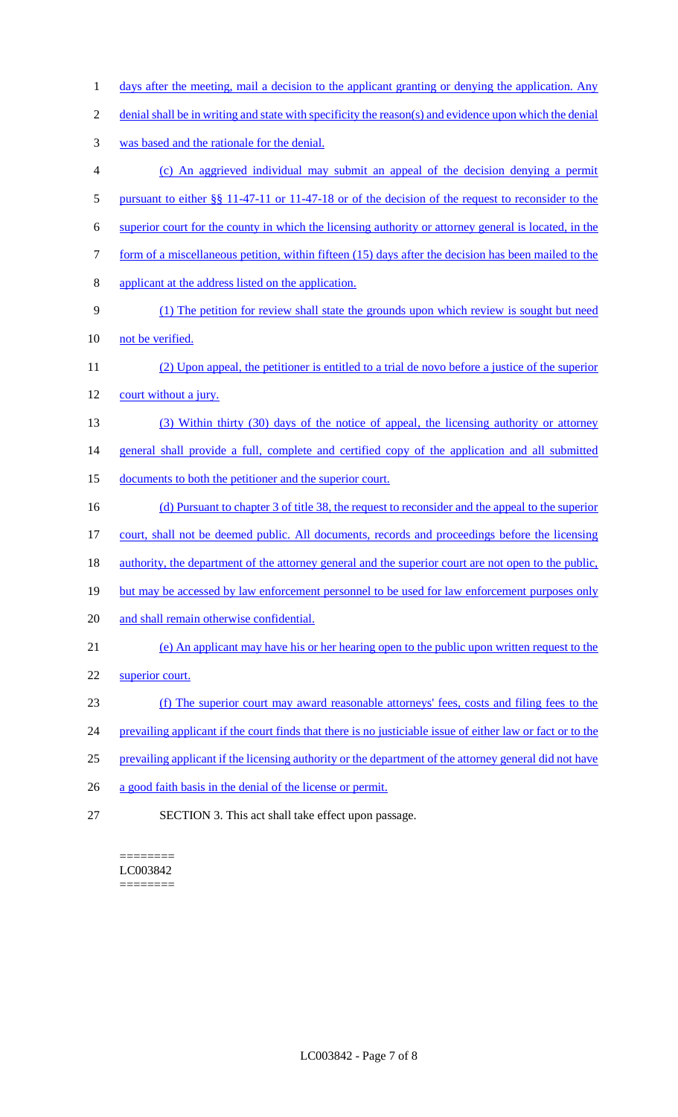- 1 days after the meeting, mail a decision to the applicant granting or denying the application. Any
- 2 denial shall be in writing and state with specificity the reason(s) and evidence upon which the denial
- 3 was based and the rationale for the denial.
- 4 (c) An aggrieved individual may submit an appeal of the decision denying a permit
- 5 pursuant to either §§ 11-47-11 or 11-47-18 or of the decision of the request to reconsider to the
- 6 superior court for the county in which the licensing authority or attorney general is located, in the
- 7 form of a miscellaneous petition, within fifteen (15) days after the decision has been mailed to the
- 8 applicant at the address listed on the application.
- 9 (1) The petition for review shall state the grounds upon which review is sought but need
- 10 not be verified.
- 11 (2) Upon appeal, the petitioner is entitled to a trial de novo before a justice of the superior 12 court without a jury.
- 13 (3) Within thirty (30) days of the notice of appeal, the licensing authority or attorney
- 14 general shall provide a full, complete and certified copy of the application and all submitted
- 15 documents to both the petitioner and the superior court.
- 16 (d) Pursuant to chapter 3 of title 38, the request to reconsider and the appeal to the superior
- 17 court, shall not be deemed public. All documents, records and proceedings before the licensing
- 18 authority, the department of the attorney general and the superior court are not open to the public,
- 19 but may be accessed by law enforcement personnel to be used for law enforcement purposes only
- 20 and shall remain otherwise confidential.
- 21 (e) An applicant may have his or her hearing open to the public upon written request to the
- 22 superior court.
- 23 (f) The superior court may award reasonable attorneys' fees, costs and filing fees to the
- 24 prevailing applicant if the court finds that there is no justiciable issue of either law or fact or to the
- 25 prevailing applicant if the licensing authority or the department of the attorney general did not have
- 26 a good faith basis in the denial of the license or permit.
- 27 SECTION 3. This act shall take effect upon passage.

======== LC003842 ========